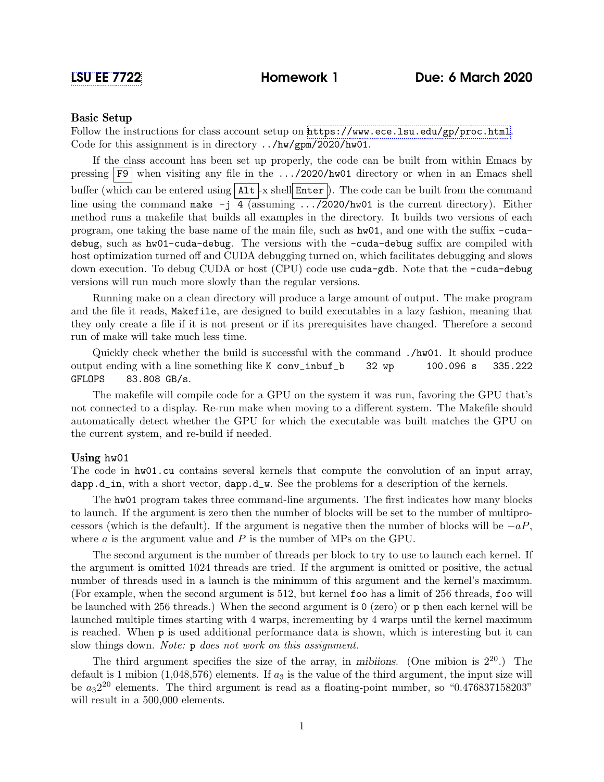## Basic Setup

Follow the instructions for class account setup on <https://www.ece.lsu.edu/gp/proc.html>. Code for this assignment is in directory ../hw/gpm/2020/hw01.

If the class account has been set up properly, the code can be built from within Emacs by pressing  $\overline{F9}$  when visiting any file in the .../2020/hw01 directory or when in an Emacs shell buffer (which can be entered using  $\text{Alt}$  -x shell Enter ). The code can be built from the command line using the command make  $-j$  4 (assuming  $\ldots$ /2020/hw01 is the current directory). Either method runs a makefile that builds all examples in the directory. It builds two versions of each program, one taking the base name of the main file, such as hw01, and one with the suffix -cudadebug, such as hw01-cuda-debug. The versions with the -cuda-debug suffix are compiled with host optimization turned off and CUDA debugging turned on, which facilitates debugging and slows down execution. To debug CUDA or host (CPU) code use cuda-gdb. Note that the -cuda-debug versions will run much more slowly than the regular versions.

Running make on a clean directory will produce a large amount of output. The make program and the file it reads, Makefile, are designed to build executables in a lazy fashion, meaning that they only create a file if it is not present or if its prerequisites have changed. Therefore a second run of make will take much less time.

Quickly check whether the build is successful with the command ./hw01. It should produce output ending with a line something like K conv\_inbuf\_b 32 wp 100.096 s 335.222 GFLOPS 83.808 GB/s.

The makefile will compile code for a GPU on the system it was run, favoring the GPU that's not connected to a display. Re-run make when moving to a different system. The Makefile should automatically detect whether the GPU for which the executable was built matches the GPU on the current system, and re-build if needed.

## Using hw01

The code in hw01.cu contains several kernels that compute the convolution of an input array, dapp.d\_in, with a short vector, dapp.d\_w. See the problems for a description of the kernels.

The hw01 program takes three command-line arguments. The first indicates how many blocks to launch. If the argument is zero then the number of blocks will be set to the number of multiprocessors (which is the default). If the argument is negative then the number of blocks will be  $-aP$ , where  $a$  is the argument value and  $P$  is the number of MPs on the GPU.

The second argument is the number of threads per block to try to use to launch each kernel. If the argument is omitted 1024 threads are tried. If the argument is omitted or positive, the actual number of threads used in a launch is the minimum of this argument and the kernel's maximum. (For example, when the second argument is 512, but kernel foo has a limit of 256 threads, foo will be launched with 256 threads.) When the second argument is 0 (zero) or p then each kernel will be launched multiple times starting with 4 warps, incrementing by 4 warps until the kernel maximum is reached. When p is used additional performance data is shown, which is interesting but it can slow things down. *Note:* **p** does not work on this assignment.

The third argument specifies the size of the array, in mibiions. (One mibion is  $2^{20}$ .) The default is 1 mibion (1,048,576) elements. If  $a_3$  is the value of the third argument, the input size will be  $a_32^{20}$  elements. The third argument is read as a floating-point number, so "0.476837158203" will result in a 500,000 elements.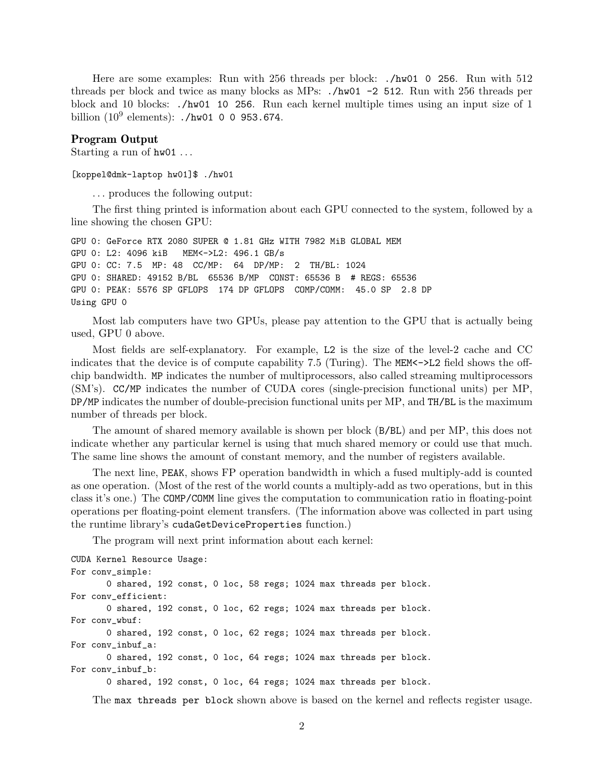Here are some examples: Run with 256 threads per block: ./hw01 0 256. Run with 512 threads per block and twice as many blocks as MPs: ./hw01 -2 512. Run with 256 threads per block and 10 blocks: ./hw01 10 256. Run each kernel multiple times using an input size of 1 billion  $(10^9 \text{ elements})$ : ./hw01 0 0 953.674.

## Program Output

Starting a run of  $hwd1$ ...

[koppel@dmk-laptop hw01]\$ ./hw01

. . . produces the following output:

The first thing printed is information about each GPU connected to the system, followed by a line showing the chosen GPU:

GPU 0: GeForce RTX 2080 SUPER @ 1.81 GHz WITH 7982 MiB GLOBAL MEM GPU 0: L2: 4096 kiB MEM<->L2: 496.1 GB/s GPU 0: CC: 7.5 MP: 48 CC/MP: 64 DP/MP: 2 TH/BL: 1024 GPU 0: SHARED: 49152 B/BL 65536 B/MP CONST: 65536 B # REGS: 65536 GPU 0: PEAK: 5576 SP GFLOPS 174 DP GFLOPS COMP/COMM: 45.0 SP 2.8 DP Using GPU 0

Most lab computers have two GPUs, please pay attention to the GPU that is actually being used, GPU 0 above.

Most fields are self-explanatory. For example, L2 is the size of the level-2 cache and CC indicates that the device is of compute capability 7.5 (Turing). The MEM<->L2 field shows the offchip bandwidth. MP indicates the number of multiprocessors, also called streaming multiprocessors (SM's). CC/MP indicates the number of CUDA cores (single-precision functional units) per MP, DP/MP indicates the number of double-precision functional units per MP, and TH/BL is the maximum number of threads per block.

The amount of shared memory available is shown per block (B/BL) and per MP, this does not indicate whether any particular kernel is using that much shared memory or could use that much. The same line shows the amount of constant memory, and the number of registers available.

The next line, PEAK, shows FP operation bandwidth in which a fused multiply-add is counted as one operation. (Most of the rest of the world counts a multiply-add as two operations, but in this class it's one.) The COMP/COMM line gives the computation to communication ratio in floating-point operations per floating-point element transfers. (The information above was collected in part using the runtime library's cudaGetDeviceProperties function.)

The program will next print information about each kernel:

```
CUDA Kernel Resource Usage:
For conv_simple:
       0 shared, 192 const, 0 loc, 58 regs; 1024 max threads per block.
For conv_efficient:
       0 shared, 192 const, 0 loc, 62 regs; 1024 max threads per block.
For conv_wbuf:
       0 shared, 192 const, 0 loc, 62 regs; 1024 max threads per block.
For conv_inbuf_a:
       0 shared, 192 const, 0 loc, 64 regs; 1024 max threads per block.
For conv_inbuf_b:
       0 shared, 192 const, 0 loc, 64 regs; 1024 max threads per block.
```
The max threads per block shown above is based on the kernel and reflects register usage.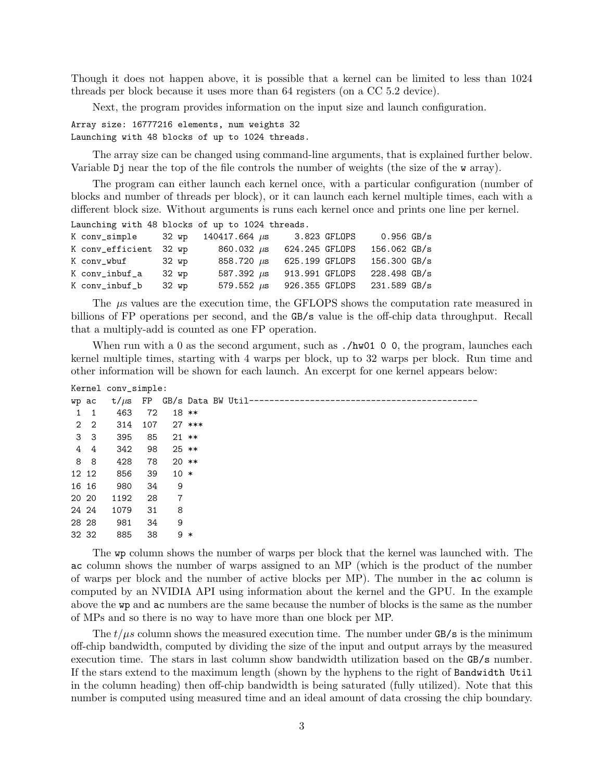Though it does not happen above, it is possible that a kernel can be limited to less than 1024 threads per block because it uses more than 64 registers (on a CC 5.2 device).

Next, the program provides information on the input size and launch configuration.

Array size: 16777216 elements, num weights 32 Launching with 48 blocks of up to 1024 threads.

The array size can be changed using command-line arguments, that is explained further below. Variable Dj near the top of the file controls the number of weights (the size of the w array).

The program can either launch each kernel once, with a particular configuration (number of blocks and number of threads per block), or it can launch each kernel multiple times, each with a different block size. Without arguments is runs each kernel once and prints one line per kernel. Launching with 48 blocks of up to 1024 threads.

| K conv_simple 32 wp    |       | 140417.664 $\mu$ s             | 3.823 GFLOPS   | $0.956$ GB/s   |  |
|------------------------|-------|--------------------------------|----------------|----------------|--|
| K conv_efficient 32 wp |       | $860.032 \ \mu s$              | 624.245 GFLOPS | 156.062 GB/s   |  |
| K conv_wbuf 32 wp      |       | 858.720 $\mu$ s 625.199 GFLOPS |                | 156.300 GB/s   |  |
| K conv_inbuf_a         | 32 wp | 587.392 $\mu$ s 913.991 GFLOPS |                | $228.498$ GB/s |  |
| K conv_inbuf_b         | 32 wp | 579.552 $\mu$ s                | 926.355 GFLOPS | 231.589 GB/s   |  |

The  $\mu$ s values are the execution time, the GFLOPS shows the computation rate measured in billions of FP operations per second, and the GB/s value is the off-chip data throughput. Recall that a multiply-add is counted as one FP operation.

When run with a 0 as the second argument, such as  $\Lambda w01$  0 0, the program, launches each kernel multiple times, starting with 4 warps per block, up to 32 warps per block. Run time and other information will be shown for each launch. An excerpt for one kernel appears below:

| Kernel conv_simple: |                |               |     |         |          |                            |
|---------------------|----------------|---------------|-----|---------|----------|----------------------------|
|                     | wp ac          | t/ $\mu$ s FP |     |         |          | GB/s Data BW Util--------- |
| 1                   | -1             | 463           | 72  |         | $18 **$  |                            |
|                     | $2\quad 2$     | 314           | 107 |         | $27$ *** |                            |
|                     | 3 <sup>3</sup> | 395           | 85  | $21 **$ |          |                            |
| 4                   | $\overline{4}$ | 342           | 98  | $25$ ** |          |                            |
|                     | 8 8            | 428           | 78  | $20$ ** |          |                            |
|                     | 12 12          | 856           | 39  | $10 *$  |          |                            |
|                     | 16 16          | 980           | 34  | 9       |          |                            |
|                     | 20 20          | 1192          | 28  | 7       |          |                            |
|                     | 24 24          | 1079          | 31  | 8       |          |                            |
|                     | 28 28          | 981           | 34  | 9       |          |                            |
|                     | 32 32          | 885           | 38  | 9       | $\ast$   |                            |

The wp column shows the number of warps per block that the kernel was launched with. The ac column shows the number of warps assigned to an MP (which is the product of the number of warps per block and the number of active blocks per MP). The number in the ac column is computed by an NVIDIA API using information about the kernel and the GPU. In the example above the wp and ac numbers are the same because the number of blocks is the same as the number of MPs and so there is no way to have more than one block per MP.

The  $t/\mu s$  column shows the measured execution time. The number under GB/s is the minimum off-chip bandwidth, computed by dividing the size of the input and output arrays by the measured execution time. The stars in last column show bandwidth utilization based on the GB/s number. If the stars extend to the maximum length (shown by the hyphens to the right of Bandwidth Util in the column heading) then off-chip bandwidth is being saturated (fully utilized). Note that this number is computed using measured time and an ideal amount of data crossing the chip boundary.